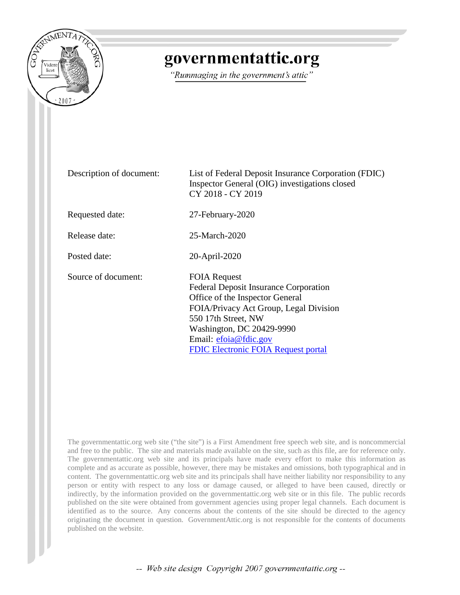

## governmentattic.org

"Rummaging in the government's attic"

Description of document: List of Federal Deposit Insurance Corporation (FDIC) Inspector General (OIG) investigations closed CY 2018 - CY 2019 Requested date: 27-February-2020 Release date: 25-March-2020 Posted date: 20-April-2020 Source of document: FOIA Request Federal Deposit Insurance Corporation Office of the Inspector General FOIA/Privacy Act Group, Legal Division 550 17th Street, NW Washington, DC 20429-9990 Email: [efoia@fdic.gov](mailto:efoia@fdic.gov?subject=FOIA%20Request) [FDIC Electronic FOIA Request portal](https://efoiarequest.fdic.gov/app/Home.aspx)

The governmentattic.org web site ("the site") is a First Amendment free speech web site, and is noncommercial and free to the public. The site and materials made available on the site, such as this file, are for reference only. The governmentattic.org web site and its principals have made every effort to make this information as complete and as accurate as possible, however, there may be mistakes and omissions, both typographical and in content. The governmentattic.org web site and its principals shall have neither liability nor responsibility to any person or entity with respect to any loss or damage caused, or alleged to have been caused, directly or indirectly, by the information provided on the governmentattic.org web site or in this file. The public records published on the site were obtained from government agencies using proper legal channels. Each document is identified as to the source. Any concerns about the contents of the site should be directed to the agency originating the document in question. GovernmentAttic.org is not responsible for the contents of documents published on the website.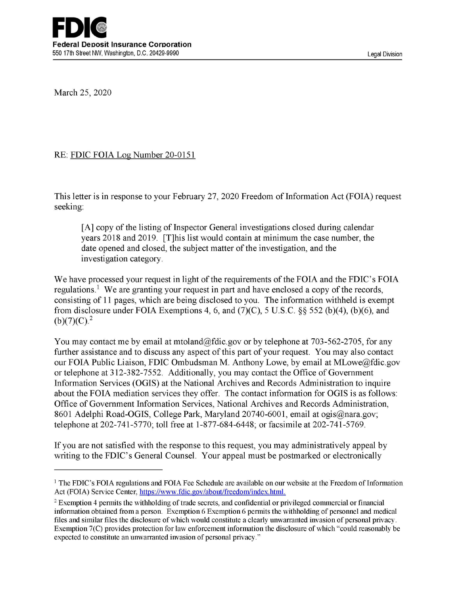March 25, 2020

## RE: FDIC FOIA Log Number 20-0151

This letter is in response to your February 27, 2020 Freedom of Information Act (FOIA) request seeking:

[A] copy of the listing of Inspector General investigations closed during calendar years 2018 and 2019. [T]his list would contain at minimum the case number, the date opened and closed, the subject matter of the investigation, and the investigation category.

We have processed your request in light of the requirements of the FOIA and the FDIC's FOIA regulations.<sup>1</sup> We are granting your request in part and have enclosed a copy of the records, consisting of 11 pages, which are being disclosed to you. The information withheld is exempt from disclosure under FOIA Exemptions 4, 6, and  $(7)(C)$ , 5 U.S.C. §§ 552 (b)(4), (b)(6), and  $(b)(7)(C).<sup>2</sup>$ 

You may contact me by email at mtoland@fdic.gov or by telephone at 703-562-2705, for any further assistance and to discuss any aspect of this part of your request. You may also contact our FOIA Public Liaison, FDIC Ombudsman M. Anthony Lowe, by email at MLowe@fdic.gov or telephone at 312-382-7552. Additionally, you may contact the Office of Government Information Services (OGIS) at the National Archives and Records Administration to inquire about the FOIA mediation services they offer. The contact information for OGIS is as follows: Office of Government Information Services, National Archives and Records Administration, 8601 Adelphi Road-OGIS, College Park, Maryland 20740-6001, email at ogis@nara.gov; telephone at 202-741-5770; toll free at 1-877-684-6448; or facsimile at 202-741-5769.

If you are not satisfied with the response to this request, you may administratively appeal by writing to the FDIC's General Counsel. Your appeal must be postmarked or electronically

<sup>1</sup> The FDIC's FOIA regulations and FOIA Fee Schedule are available on our website at the Freedom of Information Act (FOIA) Service Center, https://www.fdic .gov/about/freedom/index.html.

<sup>2</sup>Exemption 4 permits the withholding of trade secrets, and confidential or privileged commercial or financial information obtained from a person. Exemption 6 Exemption 6 permits the withholding of personnel and medical files and similar files the disclosure of which would constitute a clearly unwarranted invasion of personal privacy. Exemption 7(C) provides protection for law enforcement information the disclosure of which "could reasonably be expected to constitute an unwarranted invasion of personal privacy."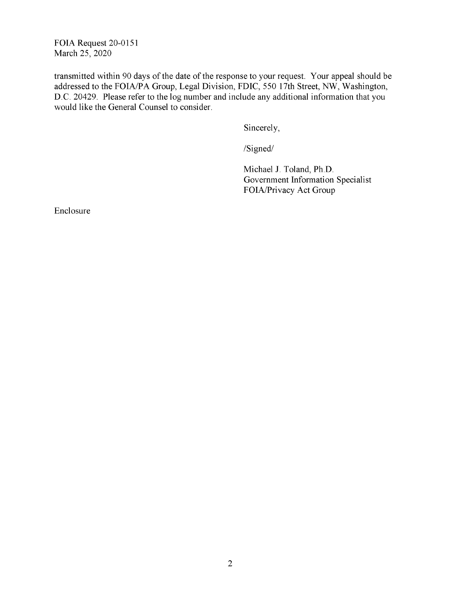FOIA Request 20-0151 March 25, 2020

transmitted within 90 days of the date of the response to your request. Your appeal should be addressed to the FOIA/PA Group, Legal Division, FDIC, 550 17th Street, NW, Washington, D.C. 20429. Please refer to the log number and include any additional information that you would like the General Counsel to consider.

Sincerely,

/Signed/

Michael J. Toland, Ph.D. Government Information Specialist FOIA/Privacy Act Group

Enclosure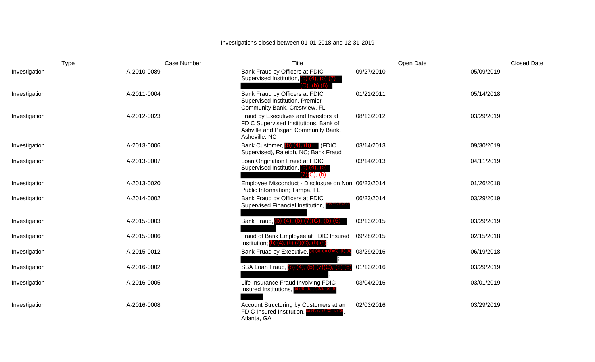## Investigations closed between 01-01-2018 and 12-31-2019

| <b>Type</b>   | Case Number | Title                                                                                                                                 | Open Date  | <b>Closed Date</b> |
|---------------|-------------|---------------------------------------------------------------------------------------------------------------------------------------|------------|--------------------|
| Investigation | A-2010-0089 | Bank Fraud by Officers at FDIC<br>Supervised Institution, (b) (4), (b) (7)<br>(C)                                                     | 09/27/2010 | 05/09/2019         |
| Investigation | A-2011-0004 | Bank Fraud by Officers at FDIC<br>Supervised Institution, Premier<br>Community Bank, Crestview, FL                                    | 01/21/2011 | 05/14/2018         |
| Investigation | A-2012-0023 | Fraud by Executives and Investors at<br>FDIC Supervised Institutions, Bank of<br>Ashville and Pisgah Community Bank,<br>Asheville, NC | 08/13/2012 | 03/29/2019         |
| Investigation | A-2013-0006 | Bank Customer, (b) (4), (b)<br>(FDIC<br>Supervised), Raleigh, NC; Bank Fraud                                                          | 03/14/2013 | 09/30/2019         |
| Investigation | A-2013-0007 | Loan Origination Fraud at FDIC<br>Supervised Institution, (b) (4), (b)<br>$\left( 7\right)$ $\left( 0\right)$ , $\left( b\right)$     | 03/14/2013 | 04/11/2019         |
| Investigation | A-2013-0020 | Employee Misconduct - Disclosure on Non 06/23/2014<br>Public Information; Tampa, FL                                                   |            | 01/26/2018         |
| Investigation | A-2014-0002 | Bank Fraud by Officers at FDIC<br>Supervised Financial Institution,                                                                   | 06/23/2014 | 03/29/2019         |
| Investigation | A-2015-0003 | Bank Fraud, (b) (4), (b) (7)(C),                                                                                                      | 03/13/2015 | 03/29/2019         |
| Investigation | A-2015-0006 | Fraud of Bank Employee at FDIC Insured<br>Institution; (b) (4), (b) $(7)(C)$ , (b) $(6)$                                              | 09/28/2015 | 02/15/2018         |
| Investigation | A-2015-0012 | Bank Fruad by Executive,<br>$(4)$ , $(D)$ $(7)(C)$ , $(D)$ (                                                                          | 03/29/2016 | 06/19/2018         |
| Investigation | A-2016-0002 | SBA Loan Fraud, (b) (4), (b) (7)(C), (b) (6)                                                                                          | 01/12/2016 | 03/29/2019         |
| Investigation | A-2016-0005 | Life Insurance Fraud Involving FDIC<br>Insured Institutions,<br>o) (4), (b) (7)(C), (b) (                                             | 03/04/2016 | 03/01/2019         |
| Investigation | A-2016-0008 | Account Structuring by Customers at an<br>FDIC Insured Institution,<br>Atlanta, GA                                                    | 02/03/2016 | 03/29/2019         |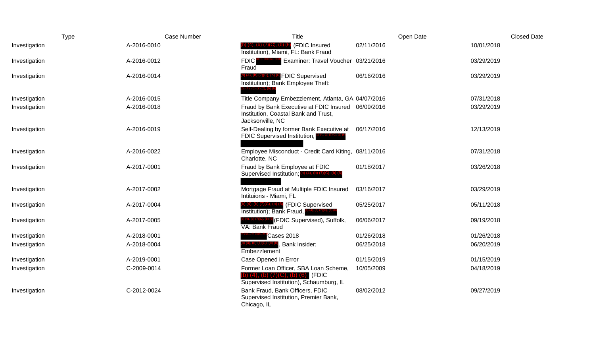|               | <b>Type</b> | Case Number          | <b>Title</b>                                                                                                               | Open Date  | <b>Closed Date</b> |
|---------------|-------------|----------------------|----------------------------------------------------------------------------------------------------------------------------|------------|--------------------|
| Investigation | A-2016-0010 |                      | $(4)$ , (b) $(7)(C)$ , (b) $(6)$ (FDIC Insured<br>Institution), Miami, FL: Bank Fraud                                      | 02/11/2016 | 10/01/2018         |
| Investigation | A-2016-0012 | <b>FDIC</b><br>Fraud | Examiner: Travel Voucher 03/21/2016                                                                                        |            | 03/29/2019         |
| Investigation | A-2016-0014 |                      | <b>FDIC Supervised</b><br>Institution); Bank Employee Theft:                                                               | 06/16/2016 | 03/29/2019         |
| Investigation | A-2016-0015 |                      | Title Company Embezzlement, Atlanta, GA 04/07/2016                                                                         |            | 07/31/2018         |
| Investigation | A-2016-0018 |                      | Fraud by Bank Executive at FDIC Insured 06/09/2016<br>Institution, Coastal Bank and Trust,<br>Jacksonville, NC             |            | 03/29/2019         |
| Investigation | A-2016-0019 |                      | Self-Dealing by former Bank Executive at<br>FDIC Supervised Institution,                                                   | 06/17/2016 | 12/13/2019         |
| Investigation | A-2016-0022 |                      | Employee Misconduct - Credit Card Kiting, 08/11/2016<br>Charlotte, NC                                                      |            | 07/31/2018         |
| Investigation | A-2017-0001 |                      | Fraud by Bank Employee at FDIC<br>Supervised Institution; $(b)$ (4), (b) (7)(C), (b) (6                                    | 01/18/2017 | 03/26/2018         |
| Investigation | A-2017-0002 |                      | Mortgage Fraud at Multiple FDIC Insured<br>Intituions - Miami, FL                                                          | 03/16/2017 | 03/29/2019         |
| Investigation | A-2017-0004 |                      | $(4)$ , (b) $(7)(C)$ , (b) $(6)$ (FDIC Supervised<br>Institution); Bank Fraud,                                             | 05/25/2017 | 05/11/2018         |
| Investigation | A-2017-0005 |                      | FDIC Supervised), Suffolk,<br>VA: Bank Fraud                                                                               | 06/06/2017 | 09/19/2018         |
| Investigation | A-2018-0001 |                      | Cases 2018                                                                                                                 | 01/26/2018 | 01/26/2018         |
| Investigation | A-2018-0004 |                      | Bank Insider;<br>Embezzlement                                                                                              | 06/25/2018 | 06/20/2019         |
| Investigation | A-2019-0001 |                      | Case Opened in Error                                                                                                       | 01/15/2019 | 01/15/2019         |
| Investigation | C-2009-0014 |                      | Former Loan Officer, SBA Loan Scheme,<br>$(4)$ , (b) $(7)(C)$ , (b) $(6)$ (FDIC<br>Supervised Institution), Schaumburg, IL | 10/05/2009 | 04/18/2019         |
| Investigation | C-2012-0024 |                      | Bank Fraud, Bank Officers, FDIC<br>Supervised Institution, Premier Bank,<br>Chicago, IL                                    | 08/02/2012 | 09/27/2019         |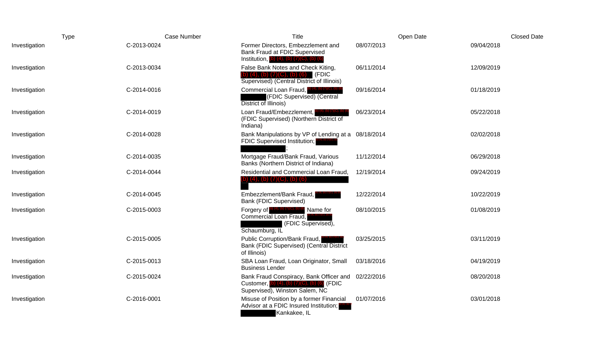| Type          | Case Number | <b>Title</b>                                                                                                                   | Open Date  | <b>Closed Date</b> |
|---------------|-------------|--------------------------------------------------------------------------------------------------------------------------------|------------|--------------------|
| Investigation | C-2013-0024 | Former Directors, Embezzlement and<br>Bank Fraud at FDIC Supervised<br>Institution, $(b)$ (4), $(b)$ (7)(C), $(b)$ (6)         | 08/07/2013 | 09/04/2018         |
| Investigation | C-2013-0034 | False Bank Notes and Check Kiting,<br>b) (4), (b) $(7)(C)$ , (b) (6) (FDIC<br>Supervised) (Central District of Illinois)       | 06/11/2014 | 12/09/2019         |
| Investigation | C-2014-0016 | Commercial Loan Fraud, (b) (4), (b) (7)(C), (b) (f)<br>(FDIC Supervised) (Central<br>District of Illinois)                     | 09/16/2014 | 01/18/2019         |
| Investigation | C-2014-0019 | Loan Fraud/Embezzlement,<br>(FDIC Supervised) (Northern District of<br>Indiana)                                                | 06/23/2014 | 05/22/2018         |
| Investigation | C-2014-0028 | Bank Manipulations by VP of Lending at a 08/18/2014<br><b>FDIC Supervised Institution;</b>                                     |            | 02/02/2018         |
| Investigation | C-2014-0035 | Mortgage Fraud/Bank Fraud, Various<br>Banks (Northern District of Indiana)                                                     | 11/12/2014 | 06/29/2018         |
| Investigation | C-2014-0044 | Residential and Commercial Loan Fraud,<br>$(4)$ , (b) $(7)(C)$ , (b) $(6)$                                                     | 12/19/2014 | 09/24/2019         |
| Investigation | C-2014-0045 | Embezzlement/Bank Fraud,<br><b>Bank (FDIC Supervised)</b>                                                                      | 12/22/2014 | 10/22/2019         |
| Investigation | C-2015-0003 | Forgery of $^{(b) (4), (b) (7)(C), (b) (6)}$ Name for<br>Commercial Loan Fraud,<br>(FDIC Supervised),<br>Schaumburg, IL        | 08/10/2015 | 01/08/2019         |
| Investigation | C-2015-0005 | Public Corruption/Bank Fraud,<br>Bank (FDIC Supervised) (Central District<br>of Illinois)                                      | 03/25/2015 | 03/11/2019         |
| Investigation | C-2015-0013 | SBA Loan Fraud, Loan Originator, Small<br><b>Business Lender</b>                                                               | 03/18/2016 | 04/19/2019         |
| Investigation | C-2015-0024 | Bank Fraud Conspiracy, Bank Officer and<br>Customer, (b) (4), (b) $(7)(C)$ , (b) $(6)$ (FDIC<br>Supervised), Winston Salem, NC | 02/22/2016 | 08/20/2018         |
| Investigation | C-2016-0001 | Misuse of Position by a former Financial<br>Advisor at a FDIC Insured Institution;<br>Kankakee, IL                             | 01/07/2016 | 03/01/2018         |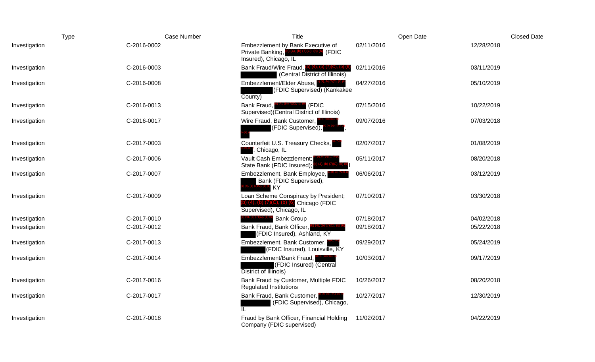|               | Type        | Case Number | Title                                                                                                                                                   | Open Date  | <b>Closed Date</b> |
|---------------|-------------|-------------|---------------------------------------------------------------------------------------------------------------------------------------------------------|------------|--------------------|
| Investigation | C-2016-0002 |             | Embezzlement by Bank Executive of<br>Private Banking,<br>$(4)$ , (b) $(7)(C)$ , (b) (6) (FDIC<br>Insured), Chicago, IL                                  | 02/11/2016 | 12/28/2018         |
| Investigation | C-2016-0003 |             | Bank Fraud/Wire Fraud, (b) (4), (b) (7)(C), (b)<br>(Central District of Illinois)                                                                       | 02/11/2016 | 03/11/2019         |
| Investigation | C-2016-0008 |             | Embezzlement/Elder Abuse,<br>(FDIC Supervised) (Kankakee<br>County)                                                                                     | 04/27/2016 | 05/10/2019         |
| Investigation | C-2016-0013 |             | $^{\text{\tiny{(4), (b)}}\,\text{\tiny{(7)(C), (b)}}\,\text{\tiny{(6)}}\,\,\text{(FDIC)}}$<br>Bank Fraud,<br>Supervised) (Central District of Illinois) | 07/15/2016 | 10/22/2019         |
| Investigation | C-2016-0017 |             | Wire Fraud, Bank Customer,<br>(FDIC Supervised),                                                                                                        | 09/07/2016 | 07/03/2018         |
| Investigation | C-2017-0003 |             | Counterfeit U.S. Treasury Checks,<br>Chicago, IL                                                                                                        | 02/07/2017 | 01/08/2019         |
| Investigation | C-2017-0006 |             | Vault Cash Embezzlement;<br>State Bank (FDIC Insured);                                                                                                  | 05/11/2017 | 08/20/2018         |
| Investigation | C-2017-0007 |             | Embezzlement, Bank Employee,<br>Bank (FDIC Supervised),<br>KY                                                                                           | 06/06/2017 | 03/12/2019         |
| Investigation | C-2017-0009 |             | Loan Scheme Conspiracy by President;<br>) (4), (b) (7)(C), (b) (6) Chicago (FDIC<br>Supervised), Chicago, IL                                            | 07/10/2017 | 03/30/2018         |
| Investigation | C-2017-0010 |             | <b>Bank Group</b>                                                                                                                                       | 07/18/2017 | 04/02/2018         |
| Investigation | C-2017-0012 |             | Bank Fraud, Bank Officer,<br>(FDIC Insured), Ashland, KY                                                                                                | 09/18/2017 | 05/22/2018         |
| Investigation | C-2017-0013 |             | Embezzlement, Bank Customer,<br>(FDIC Insured), Louisville, KY                                                                                          | 09/29/2017 | 05/24/2019         |
| Investigation | C-2017-0014 |             | Embezzlement/Bank Fraud,<br>(FDIC Insured) (Central<br>District of Illinois)                                                                            | 10/03/2017 | 09/17/2019         |
| Investigation | C-2017-0016 |             | Bank Fraud by Customer, Multiple FDIC<br><b>Regulated Institutions</b>                                                                                  | 10/26/2017 | 08/20/2018         |
| Investigation | C-2017-0017 |             | Bank Fraud, Bank Customer,<br>(FDIC Supervised), Chicago,<br>IL.                                                                                        | 10/27/2017 | 12/30/2019         |
| Investigation | C-2017-0018 |             | Fraud by Bank Officer, Financial Holding<br>Company (FDIC supervised)                                                                                   | 11/02/2017 | 04/22/2019         |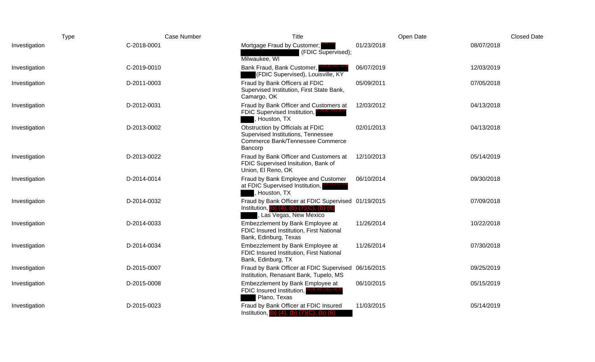| Type          |             | Case Number                                          | <b>Title</b>                                                                                                                      | Open Date  | <b>Closed Date</b> |
|---------------|-------------|------------------------------------------------------|-----------------------------------------------------------------------------------------------------------------------------------|------------|--------------------|
| Investigation | C-2018-0001 | Mortgage Fraud by Customer;<br>Milwaukee, WI         | 01/23/2018<br>(FDIC Supervised);                                                                                                  | 08/07/2018 |                    |
| Investigation | C-2019-0010 | Bank Fraud, Bank Customer,                           | 06/07/2019<br>(FDIC Supervised), Louisville, KY                                                                                   | 12/03/2019 |                    |
| Investigation | D-2011-0003 | Fraud by Bank Officers at FDIC<br>Camargo, OK        | 05/09/2011<br>Supervised Institution, First State Bank,                                                                           | 07/05/2018 |                    |
| Investigation | D-2012-0031 | <b>FDIC Supervised Institution,</b><br>, Houston, TX | Fraud by Bank Officer and Customers at<br>12/03/2012                                                                              | 04/13/2018 |                    |
| Investigation | D-2013-0002 | Obstruction by Officials at FDIC<br>Bancorp          | 02/01/2013<br>Supervised Institutions, Tennessee<br>Commerce Bank/Tennessee Commerce                                              | 04/13/2018 |                    |
| Investigation | D-2013-0022 | Union, El Reno, OK                                   | Fraud by Bank Officer and Customers at<br>12/10/2013<br>FDIC Supervised Insitution, Bank of                                       | 05/14/2019 |                    |
| Investigation | D-2014-0014 | at FDIC Supervised Institution,<br>, Houston, TX     | Fraud by Bank Employee and Customer<br>06/10/2014                                                                                 | 09/30/2018 |                    |
| Investigation | D-2014-0032 |                                                      | Fraud by Bank Officer at FDIC Supervised 01/19/2015<br>Institution, (b) $(4)$ , (b) $(7)(C)$ , (b) $(6)$<br>Las Vegas, New Mexico | 07/09/2018 |                    |
| Investigation | D-2014-0033 | Bank, Edinburg, Texas                                | Embezzlement by Bank Employee at<br>11/26/2014<br>FDIC Insured Institution, First National                                        | 10/22/2018 |                    |
| Investigation | D-2014-0034 | Bank, Edinburg, TX                                   | Embezzlement by Bank Employee at<br>11/26/2014<br>FDIC Insured Institution, First National                                        | 07/30/2018 |                    |
| Investigation | D-2015-0007 |                                                      | Fraud by Bank Officer at FDIC Supervised 06/16/2015<br>Institution, Renasant Bank, Tupelo, MS                                     | 09/25/2019 |                    |
| Investigation | D-2015-0008 | FDIC Insured Institution,<br>Plano, Texas            | Embezzlement by Bank Employee at<br>06/10/2015                                                                                    | 05/15/2019 |                    |
| Investigation | D-2015-0023 |                                                      | Fraud by Bank Officer at FDIC Insured<br>11/03/2015<br>Institution, (b) $(4)$ , (b) $(7)(C)$ , (b) $(6)$                          | 05/14/2019 |                    |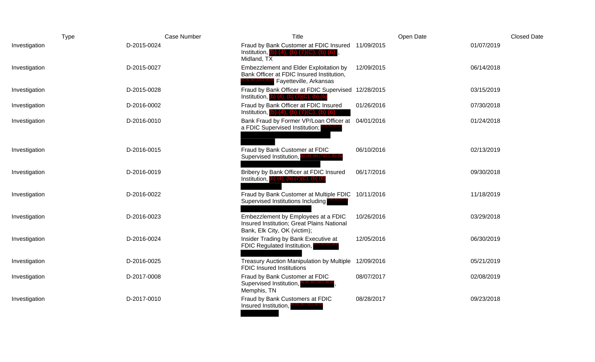|               | <b>Type</b> | Case Number | Title                                                                                                                                | Open Date  | <b>Closed Date</b> |
|---------------|-------------|-------------|--------------------------------------------------------------------------------------------------------------------------------------|------------|--------------------|
| Investigation | D-2015-0024 |             | Fraud by Bank Customer at FDIC Insured 11/09/2015<br>Institution, (b) $(4)$ , (b) $(7)(C)$ , (b) $(6)$<br>Midland, $TX$              |            | 01/07/2019         |
| Investigation | D-2015-0027 |             | Embezzlement and Elder Exploitation by<br>Bank Officer at FDIC Insured Institution,<br><sup>(C), (b) (6</sup> Fayetteville, Arkansas | 12/09/2015 | 06/14/2018         |
| Investigation | D-2015-0028 |             | Fraud by Bank Officer at FDIC Supervised 12/28/2015<br>Institution, $(b)$ $(4)$ , $(b)$ $(7)(C)$ , $(b)$ $(6)$                       |            | 03/15/2019         |
| Investigation | D-2016-0002 |             | Fraud by Bank Officer at FDIC Insured<br>Institution, (b) $(4)$ , (b) $(7)(C)$ , (b) $(6)$                                           | 01/26/2016 | 07/30/2018         |
| Investigation | D-2016-0010 |             | Bank Fraud by Former VP/Loan Officer at<br>a FDIC Supervised Institution;                                                            | 04/01/2016 | 01/24/2018         |
| Investigation | D-2016-0015 |             | Fraud by Bank Customer at FDIC<br>Supervised Institution, $\left($ b) $(4)$ , $\left($ b) $(7)(C)$ , $\left($ b) $\left($            | 06/10/2016 | 02/13/2019         |
| Investigation | D-2016-0019 |             | Bribery by Bank Officer at FDIC Insured<br>Institution, $(b)$ (4), (b) (7)(C), (b) (6                                                | 06/17/2016 | 09/30/2018         |
| Investigation | D-2016-0022 |             | Fraud by Bank Customer at Multiple FDIC<br>Supervised Institutions Including                                                         | 10/11/2016 | 11/18/2019         |
| Investigation | D-2016-0023 |             | Embezzlement by Employees at a FDIC<br>Insured Institution; Great Plains National<br>Bank, Elk City, OK (victim);                    | 10/26/2016 | 03/29/2018         |
| Investigation | D-2016-0024 |             | Insider Trading by Bank Executive at<br>FDIC Regulated Institution,                                                                  | 12/05/2016 | 06/30/2019         |
| Investigation | D-2016-0025 |             | Treasury Auction Manipulation by Multiple<br><b>FDIC Insured Institutions</b>                                                        | 12/09/2016 | 05/21/2019         |
| Investigation | D-2017-0008 |             | Fraud by Bank Customer at FDIC<br>Supervised Institution,<br>Memphis, TN                                                             | 08/07/2017 | 02/08/2019         |
| Investigation | D-2017-0010 |             | Fraud by Bank Customers at FDIC<br>Insured Institution,<br>(4), (b) (7)(し), (b) (t)<br>(                                             | 08/28/2017 | 09/23/2018         |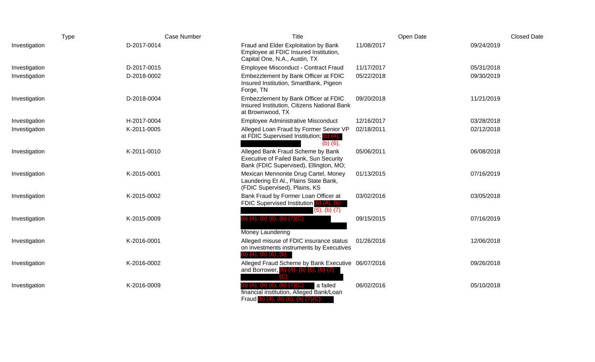| <b>Type</b>   | Case Number | Title                                                                                                                 | Open Date  | <b>Closed Date</b> |
|---------------|-------------|-----------------------------------------------------------------------------------------------------------------------|------------|--------------------|
| Investigation | D-2017-0014 | Fraud and Elder Exploitation by Bank<br>Employee at FDIC Insured Institution,<br>Capital One, N.A., Austin, TX        | 11/08/2017 | 09/24/2019         |
| Investigation | D-2017-0015 | Employee Misconduct - Contract Fraud                                                                                  | 11/17/2017 | 05/31/2018         |
| Investigation | D-2018-0002 | Embezzlement by Bank Officer at FDIC<br>Insured Institution, SmartBank, Pigeon<br>Forge, TN                           | 05/22/2018 | 09/30/2019         |
| Investigation | D-2018-0004 | Embezzlement by Bank Officer at FDIC<br>Insured Institution, Citizens National Bank<br>at Brownwood, TX               | 09/20/2018 | 11/21/2019         |
| Investigation | H-2017-0004 | <b>Employee Administrative Misconduct</b>                                                                             | 12/16/2017 | 03/28/2018         |
| Investigation | K-2011-0005 | Alleged Loan Fraud by Former Senior VP<br>at FDIC Supervised Institution; (b) (4),<br>$(b)$ $(6)$ ,                   | 02/18/2011 | 02/12/2018         |
| Investigation | K-2011-0010 | Alleged Bank Fraud Scheme by Bank<br>Executive of Failed Bank, Sun Security<br>Bank (FDIC Supervised), Ellington, MO; | 05/06/2011 | 06/08/2018         |
| Investigation | K-2015-0001 | Mexican Mennonite Drug Cartel, Money<br>Laundering Et Al., Plains State Bank,<br>(FDIC Supervised), Plains, KS        | 01/13/2015 | 07/16/2019         |
| Investigation | K-2015-0002 | Bank Fraud by Former Loan Officer at<br>FDIC Supervised Institution (b) (4), (b)<br>$(6)$ , $(b)$ $(7)$               | 03/02/2016 | 03/05/2018         |
| Investigation | K-2015-0009 | $(4)$ , $(b)$ $(6)$ , $(b)$ $(7)(C)$<br>Money Laundering                                                              | 09/15/2015 | 07/16/2019         |
| Investigation | K-2016-0001 | Alleged misuse of FDIC insurance status<br>on investments instruments by Executives<br>b) (4), (b) (6), (b)           | 01/26/2016 | 12/06/2018         |
| Investigation | K-2016-0002 | Alleged Fraud Scheme by Bank Executive 06/07/2016<br>and Borrower, $(b)$ $(4)$ , $(b)$ $(6)$ , $(b)$ $(7)$            |            | 09/26/2018         |
| Investigation | K-2016-0009 | a failed<br>financial institution, Alleged Bank/Loan<br>Fraud (b) $(4)$ , (b) $(6)$ , (b) $(7)(C)$                    | 06/02/2016 | 05/10/2018         |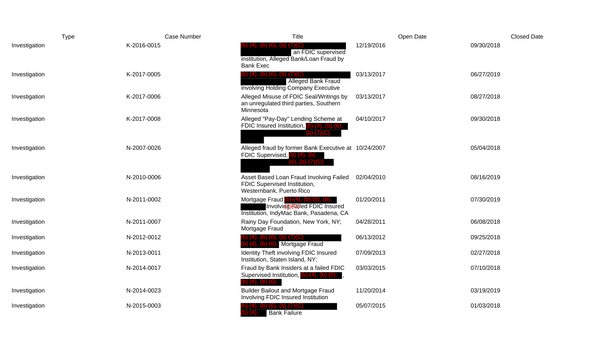|               | Type        | Case Number | Title                                                                                                                       | Open Date  | <b>Closed Date</b> |
|---------------|-------------|-------------|-----------------------------------------------------------------------------------------------------------------------------|------------|--------------------|
| Investigation | K-2016-0015 |             | 6), (b) (7)(C)<br>an FDIC supervised<br>institution, Alleged Bank/Loan Fraud by<br><b>Bank Exec</b>                         | 12/19/2016 | 09/30/2018         |
| Investigation | K-2017-0005 |             | 4), (b) (6), (b) $(f)(C)$<br><b>Alleged Bank Fraud</b><br>involving Holding Company Executive                               | 03/13/2017 | 06/27/2019         |
| Investigation | K-2017-0006 |             | Alleged Misuse of FDIC Seal/Writings by<br>an unregulated third parties, Southern<br>Minnesota                              | 03/13/2017 | 08/27/2018         |
| Investigation | K-2017-0008 |             | Alleged "Pay-Day" Lending Scheme at<br>FDIC Insured Institution, $(b)$ $(4)$ , $(b)$ $(6)$ ,<br>$(b)$ $(7)(C)$              | 04/10/2017 | 09/30/2018         |
| Investigation | N-2007-0026 |             | Alleged fraud by former Bank Executive at 10/24/2007<br>FDIC Supervised, (b) (4), (b)<br>(6), (b) (7)(C)                    |            | 05/04/2018         |
| Investigation | N-2010-0006 |             | Asset Based Loan Fraud Involving Failed<br>FDIC Supervised Institution,<br>Westernbank, Puerto Rico                         | 02/04/2010 | 08/16/2019         |
| Investigation | N-2011-0002 |             | Mortgage Fraud (b) $(4)$ , $(b)$ $(6)$ , $(b)$<br>Involving) (a)led FDIC Insured<br>Institution, IndyMac Bank, Pasadena, CA | 01/20/2011 | 07/30/2019         |
| Investigation | N-2011-0007 |             | Rainy Day Foundation, New York, NY;<br>Mortgage Fraud                                                                       | 04/28/2011 | 06/08/2018         |
| Investigation | N-2012-0012 |             | (b) $(6)$ , $(b)$ $(7)(C)$<br>Mortgage Fraud<br><u>(b) (b)</u>                                                              | 06/13/2012 | 09/25/2018         |
| Investigation | N-2013-0011 |             | Identity Theft involving FDIC Insured<br>Institution, Staten Island, NY;                                                    | 07/09/2013 | 02/27/2018         |
| Investigation | N-2014-0017 |             | Fraud by Bank Insiders at a failed FDIC<br>Supervised Institution, (b) (4), (b) (6),<br>b) (4), (b) (6),                    | 03/03/2015 | 07/10/2018         |
| Investigation | N-2014-0023 |             | <b>Builder Bailout and Mortgage Fraud</b><br>Involving FDIC Insured Institution                                             | 11/20/2014 | 03/19/2019         |
| Investigation | N-2015-0003 |             | $(6)$ , $(b)$ $(7)(C)$<br><b>Bank Failure</b>                                                                               | 05/07/2015 | 01/03/2018         |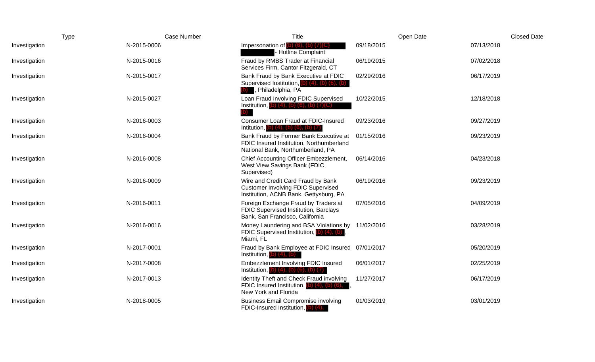| <b>Type</b>   |             | Case Number | Title                                                                                                                     | Open Date  | <b>Closed Date</b> |
|---------------|-------------|-------------|---------------------------------------------------------------------------------------------------------------------------|------------|--------------------|
| Investigation | N-2015-0006 |             | Impersonation of $(b)$ $(6)$ , $(b)$ $(7)(C)$<br><b>Hotline Complaint</b>                                                 | 09/18/2015 | 07/13/2018         |
| Investigation | N-2015-0016 |             | Fraud by RMBS Trader at Financial<br>Services Firm, Cantor Fitzgerald, CT                                                 | 06/19/2015 | 07/02/2018         |
| Investigation | N-2015-0017 |             | Bank Fraud by Bank Executive at FDIC<br>Supervised Institution, $(b)$ $(4)$ , $(b)$ $(6)$ , $(b)$<br>, Philadelphia, PA   | 02/29/2016 | 06/17/2019         |
| Investigation | N-2015-0027 |             | Loan Fraud Involving FDIC Supervised<br>Institution, (b) $(4)$ , (b) $(6)$ , (b) $(7)(C)$                                 | 10/22/2015 | 12/18/2018         |
| Investigation | N-2016-0003 |             | Consumer Loan Fraud at FDIC-Insured<br>Intitution, (b) $(4)$ , (b) $(6)$ , (b) $(7)$                                      | 09/23/2016 | 09/27/2019         |
| Investigation | N-2016-0004 |             | Bank Fraud by Former Bank Executive at<br>FDIC Insured Institution, Northumberland<br>National Bank, Northumberland, PA   | 01/15/2016 | 09/23/2019         |
| Investigation | N-2016-0008 |             | Chief Accounting Officer Embezzlement,<br>West View Savings Bank (FDIC<br>Supervised)                                     | 06/14/2016 | 04/23/2018         |
| Investigation | N-2016-0009 |             | Wire and Credit Card Fraud by Bank<br><b>Customer Involving FDIC Supervised</b><br>Institution, ACNB Bank, Gettysburg, PA | 06/19/2016 | 09/23/2019         |
| Investigation | N-2016-0011 |             | Foreign Exchange Fraud by Traders at<br>FDIC Supervised Institution, Barclays<br>Bank, San Francisco, California          | 07/05/2016 | 04/09/2019         |
| Investigation | N-2016-0016 |             | Money Laundering and BSA Violations by 11/02/2016<br>FDIC Supervised Institution, (b) (4), (b)<br>Miami, FL               |            | 03/28/2019         |
| Investigation | N-2017-0001 |             | Fraud by Bank Employee at FDIC Insured 07/01/2017<br>Institution, $(b)$ $(4)$ , $(b)$                                     |            | 05/20/2019         |
| Investigation | N-2017-0008 |             | <b>Embezzlement Involving FDIC Insured</b><br>Institution, $(b)$ $(4)$ , $(b)$ $(6)$ , $(b)$ $(7)$                        | 06/01/2017 | 02/25/2019         |
| Investigation | N-2017-0013 |             | Identity Theft and Check Fraud involving<br>FDIC Insured Institution, $(b)$ $(4)$ , $(b)$ $(6)$ ,<br>New York and Florida | 11/27/2017 | 06/17/2019         |
| Investigation | N-2018-0005 |             | <b>Business Email Compromise involving</b><br>FDIC-Insured Institution, (b) (4),                                          | 01/03/2019 | 03/01/2019         |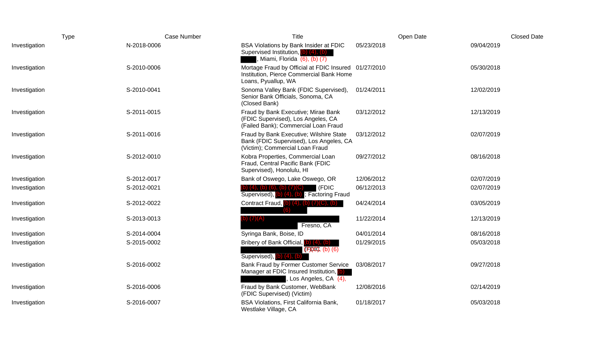| <b>Type</b>   | Case Number | Title                                                                                                                       | Open Date  | <b>Closed Date</b> |
|---------------|-------------|-----------------------------------------------------------------------------------------------------------------------------|------------|--------------------|
| Investigation | N-2018-0006 | BSA Violations by Bank Insider at FDIC<br>Supervised Institution, (b) (4), (b)<br>Miami, Florida $\overline{(6)}$ , (b) (7) | 05/23/2018 | 09/04/2019         |
| Investigation | S-2010-0006 | Mortage Fraud by Official at FDIC Insured 01/27/2010<br>Institution, Pierce Commercial Bank Home<br>Loans, Pyuallup, WA     |            | 05/30/2018         |
| Investigation | S-2010-0041 | Sonoma Valley Bank (FDIC Supervised),<br>Senior Bank Officials, Sonoma, CA<br>(Closed Bank)                                 | 01/24/2011 | 12/02/2019         |
| Investigation | S-2011-0015 | Fraud by Bank Executive; Mirae Bank<br>(FDIC Supervised), Los Angeles, CA<br>(Failed Bank); Commercial Loan Fraud           | 03/12/2012 | 12/13/2019         |
| Investigation | S-2011-0016 | Fraud by Bank Executive; Wilshire State<br>Bank (FDIC Supervised), Los Angeles, CA<br>(Victim); Commercial Loan Fraud       | 03/12/2012 | 02/07/2019         |
| Investigation | S-2012-0010 | Kobra Properties, Commercial Loan<br>Fraud, Central Pacific Bank (FDIC<br>Supervised), Honolulu, HI                         | 09/27/2012 | 08/16/2018         |
| Investigation | S-2012-0017 | Bank of Oswego, Lake Oswego, OR                                                                                             | 12/06/2012 | 02/07/2019         |
| Investigation | S-2012-0021 | (FDIC<br>b) (4), (b) (6), (b) (7)(C)<br>Supervised), (b) (4), (b); Factoring Fraud                                          | 06/12/2013 | 02/07/2019         |
| Investigation | S-2012-0022 | Contract Fraud, (b) $(4)$ , (b) $(7)(C)$ , (b)                                                                              | 04/24/2014 | 03/05/2019         |
| Investigation | S-2013-0013 | b) (7)(A)<br>Fresno, CA                                                                                                     | 11/22/2014 | 12/13/2019         |
| Investigation | S-2014-0004 | Syringa Bank, Boise, ID                                                                                                     | 04/01/2014 | 08/16/2018         |
| Investigation | S-2015-0002 | Bribery of Bank Official,<br>$(F)(00), (b)$ (6)<br>Supervised), $(b)$ $(4)$ , $(b)$                                         | 01/29/2015 | 05/03/2018         |
| Investigation | S-2016-0002 | Bank Fraud by Former Customer Service<br>Manager at FDIC Insured Institution, (b)<br>Los Angeles, CA $\overline{(4)}$ ,     | 03/08/2017 | 09/27/2018         |
| Investigation | S-2016-0006 | Fraud by Bank Customer, WebBank<br>(FDIC Supervised) (Victim)                                                               | 12/08/2016 | 02/14/2019         |
| Investigation | S-2016-0007 | BSA Violations, First California Bank,<br>Westlake Village, CA                                                              | 01/18/2017 | 05/03/2018         |